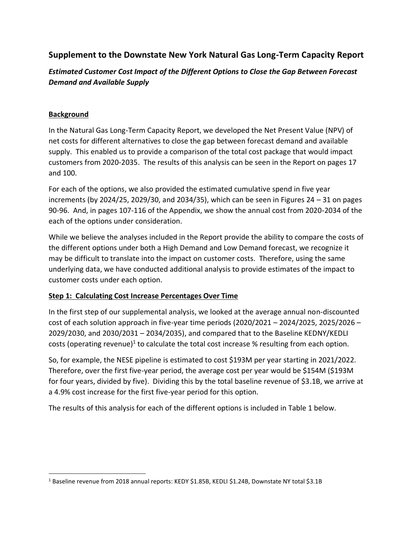## **Supplement to the Downstate New York Natural Gas Long-Term Capacity Report**

*Estimated Customer Cost Impact of the Different Options to Close the Gap Between Forecast Demand and Available Supply*

## **Background**

In the Natural Gas Long-Term Capacity Report, we developed the Net Present Value (NPV) of net costs for different alternatives to close the gap between forecast demand and available supply. This enabled us to provide a comparison of the total cost package that would impact customers from 2020-2035. The results of this analysis can be seen in the Report on pages 17 and 100.

For each of the options, we also provided the estimated cumulative spend in five year increments (by 2024/25, 2029/30, and 2034/35), which can be seen in Figures 24 – 31 on pages 90-96. And, in pages 107-116 of the Appendix, we show the annual cost from 2020-2034 of the each of the options under consideration.

While we believe the analyses included in the Report provide the ability to compare the costs of the different options under both a High Demand and Low Demand forecast, we recognize it may be difficult to translate into the impact on customer costs. Therefore, using the same underlying data, we have conducted additional analysis to provide estimates of the impact to customer costs under each option.

## **Step 1: Calculating Cost Increase Percentages Over Time**

In the first step of our supplemental analysis, we looked at the average annual non-discounted cost of each solution approach in five-year time periods (2020/2021 – 2024/2025, 2025/2026 – 2029/2030, and 2030/2031 – 2034/2035), and compared that to the Baseline KEDNY/KEDLI costs (operating revenue)<sup>1</sup> to calculate the total cost increase % resulting from each option.

So, for example, the NESE pipeline is estimated to cost \$193M per year starting in 2021/2022. Therefore, over the first five-year period, the average cost per year would be \$154M (\$193M for four years, divided by five). Dividing this by the total baseline revenue of \$3.1B, we arrive at a 4.9% cost increase for the first five-year period for this option.

The results of this analysis for each of the different options is included in Table 1 below.

<sup>1</sup> Baseline revenue from 2018 annual reports: KEDY \$1.85B, KEDLI \$1.24B, Downstate NY total \$3.1B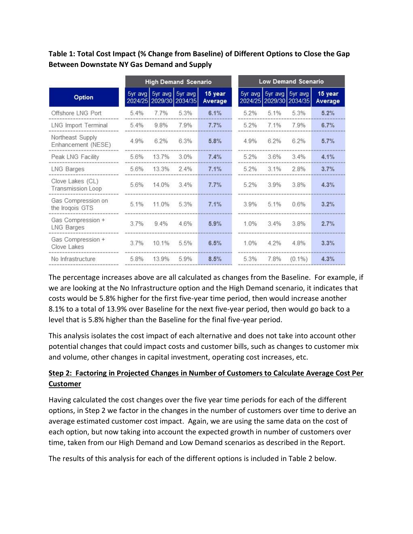**Table 1: Total Cost Impact (% Change from Baseline) of Different Options to Close the Gap Between Downstate NY Gas Demand and Supply**

|                                        | <b>High Demand Scenario</b> |                         |                         |                    | <b>Low Demand Scenario</b> |                         |                         |                    |
|----------------------------------------|-----------------------------|-------------------------|-------------------------|--------------------|----------------------------|-------------------------|-------------------------|--------------------|
| Option                                 |                             | 5yr avg 5yr avg 5yr avg | 2024/25 2029/30 2034/35 | 15 year<br>Average |                            | 5yr avg 5yr avg 5yr avg | 2024/25 2029/30 2034/35 | 15 year<br>Average |
| Offshore LNG Port                      | 5.4%                        | 7.7%                    | 5.3%                    | 6.1%               | $5.2\%$                    | 5.1%                    | 5.3%                    | 5.2%               |
| LNG Import Terminal                    | 5.4%                        | 9.8%                    | 7.9%                    | 7.7%               | 5.2%                       | 7.1%                    | 79%                     | 6.7%               |
| Northeast Supply<br>Enhancement (NESE) | 4.9%                        | 6.2%                    | 6.3%                    | 5.8%               | 4.9%                       | 6.2%                    | 6.2%                    | 5.7%               |
| Peak LNG Facility                      | 5.6%                        | 137%                    | 3.0%                    | 7.4%               | 52%                        | 3.6%                    | 3.4%                    | 4.1%               |
| LNG Barges                             | 5.6%                        | 13.3%                   | $2.4\%$                 | 7.1%               | 5.2%                       | 3.1%                    | 28%                     | 3.7%               |
| Clove Lakes (CL)<br>Transmission Loop  | 5.6%                        | 14.0%                   | $3.4\%$                 | 7.7%               | 5.2%                       | 3.9%                    | 3.8%                    | 4.3%               |
| Gas Compression on<br>the Iroqois GTS  | 5.1%                        | 11.0%                   | 5.3%                    | 7.1%               | 3.9%                       | 5.1%                    | 0.6%                    | 3.2%               |
| Gas Compression +<br>LNG Barges        | 37%                         | $9.4\%$                 | 46%                     | 5.9%               | 1.0%                       | 3.4%                    | 3.8%                    | 2.7%               |
| Gas Compression +<br>Clove Lakes       | $3.7\%$                     | 10.1%                   | 5.5%                    | 6.5%               | 1.0%                       | 4.2%                    | 4.8%                    | 3.3%               |
| No Infrastructure                      | 5.8%                        | 13.9%                   | 5.9%                    | 8.5%               | 5.3%                       | 7.8%                    | $(0.1\%)$               | 4.3%               |

The percentage increases above are all calculated as changes from the Baseline. For example, if we are looking at the No Infrastructure option and the High Demand scenario, it indicates that costs would be 5.8% higher for the first five-year time period, then would increase another 8.1% to a total of 13.9% over Baseline for the next five-year period, then would go back to a level that is 5.8% higher than the Baseline for the final five-year period.

This analysis isolates the cost impact of each alternative and does not take into account other potential changes that could impact costs and customer bills, such as changes to customer mix and volume, other changes in capital investment, operating cost increases, etc.

## **Step 2: Factoring in Projected Changes in Number of Customers to Calculate Average Cost Per Customer**

Having calculated the cost changes over the five year time periods for each of the different options, in Step 2 we factor in the changes in the number of customers over time to derive an average estimated customer cost impact. Again, we are using the same data on the cost of each option, but now taking into account the expected growth in number of customers over time, taken from our High Demand and Low Demand scenarios as described in the Report.

The results of this analysis for each of the different options is included in Table 2 below.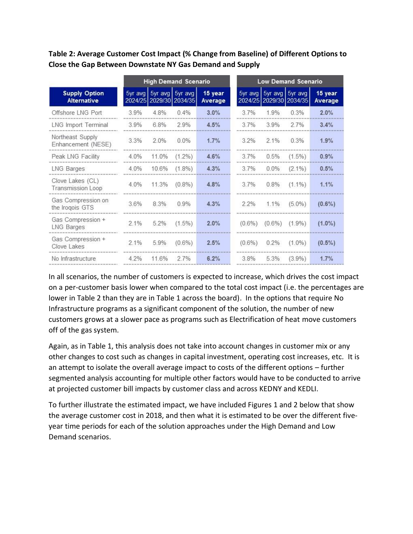**Table 2: Average Customer Cost Impact (% Change from Baseline) of Different Options to Close the Gap Between Downstate NY Gas Demand and Supply**

|                                            | <b>High Demand Scenario</b> |                         |                         |                    | <b>Low Demand Scenario</b> |                         |                         |                    |
|--------------------------------------------|-----------------------------|-------------------------|-------------------------|--------------------|----------------------------|-------------------------|-------------------------|--------------------|
| <b>Supply Option</b><br><b>Alternative</b> |                             | 5yr avg 5yr avg 5yr avg | 2024/25 2029/30 2034/35 | 15 year<br>Average |                            | 5yr avg 5yr avg 5yr avg | 2024/25 2029/30 2034/35 | 15 year<br>Average |
| Offshore LNG Port                          | 3.9%                        | 4.8%                    | 0.4%                    | 3.0%               | 3.7%                       | 1.9%                    | 0.3%                    | 2.0%               |
| LNG Import Terminal                        | 3.9%                        | 6.8%                    | 2.9%                    | 4.5%               | 37%                        | 3.9%                    | 27%                     | 3.4%               |
| Northeast Supply<br>Enhancement (NESE)     | 3.3%                        | 2.0%                    | 0.0%                    | 1.7%               | 3.2%                       | $2.1\%$                 | 0.3%                    | 1.9%               |
| Peak LNG Facility                          | 4.0%                        | 11.0%                   | $(1.2\%)$               | 4.6%               | 3.7%                       | 0.5%                    | $(1.5\%)$               | 0.9%               |
| LNG Barges                                 | 4.0%                        | 10.6%                   | $(1.8\%)$               | 4.3%               | 3.7%                       | 0.0%                    | $(2.1\%)$               | 0.5%               |
| Clove Lakes (CL)<br>Transmission Loop      | 4.0%                        | 11.3%                   | $(0.8\%)$               | 4.8%               | 3.7%                       | 0.8%                    | $(1.1\%)$               | 1.1%               |
| Gas Compression on<br>the Irogois GTS      | 3.6%                        | 8.3%                    | 0.9%                    | 4.3%               | 2.2%                       | 1.1%                    | $(5.0\%)$               | $(0.6\%)$          |
| Gas Compression +<br>LNG Barges            | 2.1%                        | 5.2%                    | $(1.5\%)$               | 2.0%               | $(0.6\%)$                  | $(0.6\%)$               | $(1.9\%)$               | $(1.0\%)$          |
| Gas Compression +<br>Clove Lakes           | $2.1\%$                     | 5.9%                    | $(0.6\%)$               | 2.5%               | $(0.6\%)$                  | 0.2%                    | $(1.0\%)$               | $(0.5\%)$          |
| No Infrastructure                          | $4.2\%$                     | 11.6%                   | 2.7%                    | 6.2%               | 3.8%                       | 5.3%                    | $(3.9\%)$               | 1.7%               |

In all scenarios, the number of customers is expected to increase, which drives the cost impact on a per-customer basis lower when compared to the total cost impact (i.e. the percentages are lower in Table 2 than they are in Table 1 across the board). In the options that require No Infrastructure programs as a significant component of the solution, the number of new customers grows at a slower pace as programs such as Electrification of heat move customers off of the gas system.

Again, as in Table 1, this analysis does not take into account changes in customer mix or any other changes to cost such as changes in capital investment, operating cost increases, etc. It is an attempt to isolate the overall average impact to costs of the different options – further segmented analysis accounting for multiple other factors would have to be conducted to arrive at projected customer bill impacts by customer class and across KEDNY and KEDLI.

To further illustrate the estimated impact, we have included Figures 1 and 2 below that show the average customer cost in 2018, and then what it is estimated to be over the different fiveyear time periods for each of the solution approaches under the High Demand and Low Demand scenarios.